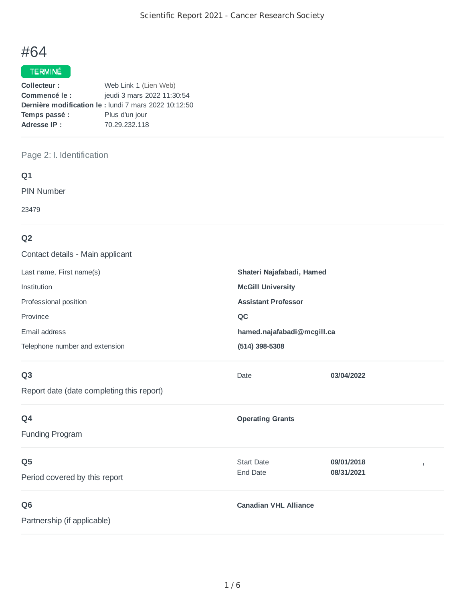# #64

# TERMINÉ

| Collecteur:   | Web Link 1 (Lien Web)                                        |
|---------------|--------------------------------------------------------------|
| Commencé le:  | jeudi 3 mars 2022 11:30:54                                   |
|               | <b>Dernière modification le :</b> lundi 7 mars 2022 10:12:50 |
| Temps passé : | Plus d'un jour                                               |
| Adresse IP:   | 70.29.232.118                                                |

# Page 2: I. Identification

## **Q1**

PIN Number

23479

# **Q2**

| Contact details - Main applicant          |                              |            |   |
|-------------------------------------------|------------------------------|------------|---|
| Last name, First name(s)                  | Shateri Najafabadi, Hamed    |            |   |
| Institution                               | <b>McGill University</b>     |            |   |
| Professional position                     | <b>Assistant Professor</b>   |            |   |
| Province                                  | QC                           |            |   |
| Email address                             | hamed.najafabadi@mcgill.ca   |            |   |
| Telephone number and extension            | (514) 398-5308               |            |   |
| Q <sub>3</sub>                            | Date                         | 03/04/2022 |   |
| Report date (date completing this report) |                              |            |   |
| Q4                                        | <b>Operating Grants</b>      |            |   |
| <b>Funding Program</b>                    |                              |            |   |
| Q <sub>5</sub>                            | <b>Start Date</b>            | 09/01/2018 | , |
| Period covered by this report             | End Date                     | 08/31/2021 |   |
| Q <sub>6</sub>                            | <b>Canadian VHL Alliance</b> |            |   |
| Partnership (if applicable)               |                              |            |   |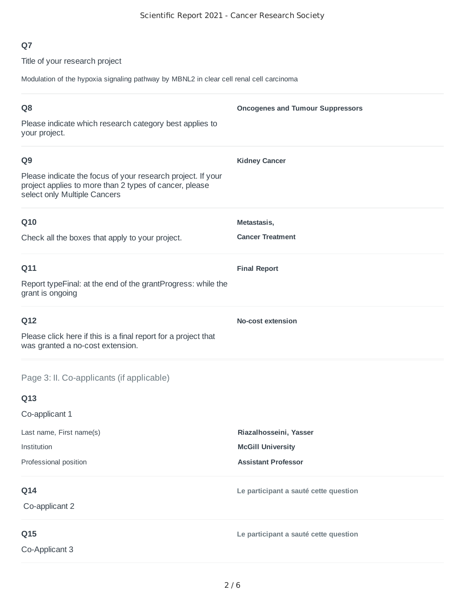Title of your research project

Modulation of the hypoxia signaling pathway by MBNL2 in clear cell renal cell carcinoma

| Q <sub>8</sub>                                                                                                                                        | <b>Oncogenes and Tumour Suppressors</b> |
|-------------------------------------------------------------------------------------------------------------------------------------------------------|-----------------------------------------|
| Please indicate which research category best applies to<br>your project.                                                                              |                                         |
| Q <sub>9</sub>                                                                                                                                        | <b>Kidney Cancer</b>                    |
| Please indicate the focus of your research project. If your<br>project applies to more than 2 types of cancer, please<br>select only Multiple Cancers |                                         |
| Q10                                                                                                                                                   | Metastasis,                             |
| Check all the boxes that apply to your project.                                                                                                       | <b>Cancer Treatment</b>                 |
| Q11                                                                                                                                                   | <b>Final Report</b>                     |
| Report typeFinal: at the end of the grantProgress: while the<br>grant is ongoing                                                                      |                                         |
| Q12                                                                                                                                                   | <b>No-cost extension</b>                |
| Please click here if this is a final report for a project that<br>was granted a no-cost extension.                                                    |                                         |
| Page 3: II. Co-applicants (if applicable)                                                                                                             |                                         |
| Q13                                                                                                                                                   |                                         |
| Co-applicant 1                                                                                                                                        |                                         |
| Last name, First name(s)                                                                                                                              | Riazalhosseini, Yasser                  |
| Institution                                                                                                                                           | <b>McGill University</b>                |
| Professional position                                                                                                                                 | <b>Assistant Professor</b>              |
| Q14                                                                                                                                                   | Le participant a sauté cette question   |
| Co-applicant 2                                                                                                                                        |                                         |
| Q15                                                                                                                                                   | Le participant a sauté cette question   |
| Co-Applicant 3                                                                                                                                        |                                         |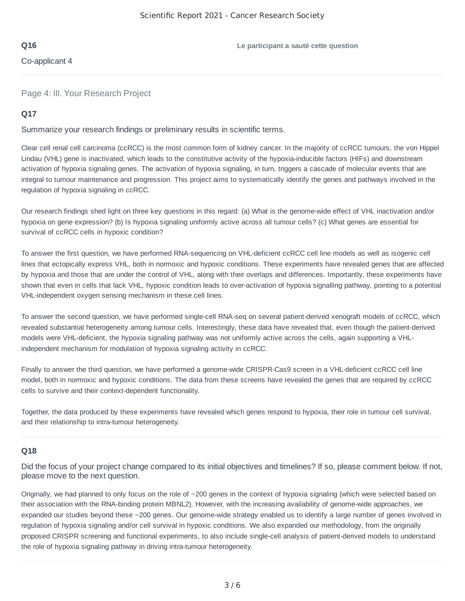Co-applicant 4

Page 4: III. Your Research Project

## **Q17**

Summarize your research findings or preliminary results in scientific terms.

Clear cell renal cell carcinoma (ccRCC) is the most common form of kidney cancer. In the majority of ccRCC tumours, the von Hippel Lindau (VHL) gene is inactivated, which leads to the constitutive activity of the hypoxia-inducible factors (HIFs) and downstream activation of hypoxia signaling genes. The activation of hypoxia signaling, in turn, triggers a cascade of molecular events that are integral to tumour maintenance and progression. This project aims to systematically identify the genes and pathways involved in the regulation of hypoxia signaling in ccRCC.

Our research findings shed light on three key questions in this regard: (a) What is the genome-wide effect of VHL inactivation and/or hypoxia on gene expression? (b) Is hypoxia signaling uniformly active across all tumour cells? (c) What genes are essential for survival of ccRCC cells in hypoxic condition?

To answer the first question, we have performed RNA-sequencing on VHL-deficient ccRCC cell line models as well as isogenic cell lines that ectopically express VHL, both in normoxic and hypoxic conditions. These experiments have revealed genes that are affected by hypoxia and those that are under the control of VHL, along with their overlaps and differences. Importantly, these experiments have shown that even in cells that lack VHL, hypoxic condition leads to over-activation of hypoxia signalling pathway, pointing to a potential VHL-independent oxygen sensing mechanism in these cell lines.

To answer the second question, we have performed single-cell RNA-seq on several patient-derived xenograft models of ccRCC, which revealed substantial heterogeneity among tumour cells. Interestingly, these data have revealed that, even though the patient-derived models were VHL-deficient, the hypoxia signaling pathway was not uniformly active across the cells, again supporting a VHLindependent mechanism for modulation of hypoxia signaling activity in ccRCC.

Finally to answer the third question, we have performed a genome-wide CRISPR-Cas9 screen in a VHL-deficient ccRCC cell line model, both in normoxic and hypoxic conditions. The data from these screens have revealed the genes that are required by ccRCC cells to survive and their context-dependent functionality.

Together, the data produced by these experiments have revealed which genes respond to hypoxia, their role in tumour cell survival, and their relationship to intra-tumour heterogeneity.

## **Q18**

Did the focus of your project change compared to its initial objectives and timelines? If so, please comment below. If not, please move to the next question.

Originally, we had planned to only focus on the role of ~200 genes in the context of hypoxia signaling (which were selected based on their association with the RNA-binding protein MBNL2). However, with the increasing availability of genome-wide approaches, we expanded our studies beyond these ~200 genes. Our genome-wide strategy enabled us to identify a large number of genes involved in regulation of hypoxia signaling and/or cell survival in hypoxic conditions. We also expanded our methodology, from the originally proposed CRISPR screening and functional experiments, to also include single-cell analysis of patient-derived models to understand the role of hypoxia signaling pathway in driving intra-tumour heterogeneity.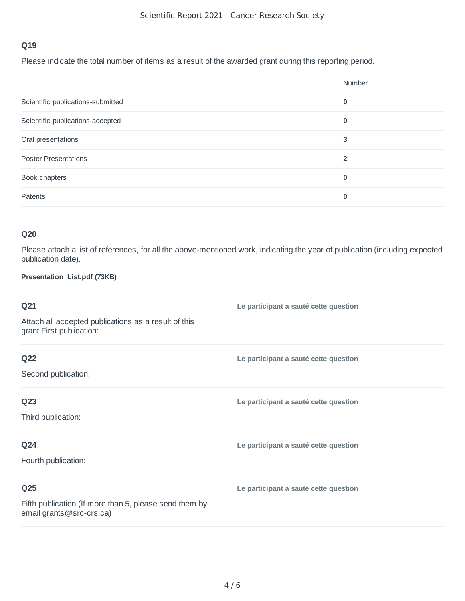Please indicate the total number of items as a result of the awarded grant during this reporting period.

|                                   | Number         |
|-----------------------------------|----------------|
| Scientific publications-submitted | $\bf{0}$       |
| Scientific publications-accepted  | $\bf{0}$       |
| Oral presentations                | 3              |
| <b>Poster Presentations</b>       | $\overline{2}$ |
| Book chapters                     | $\bf{0}$       |
| Patents                           | $\bf{0}$       |
|                                   |                |

# **Q20**

Please attach a list of references, for all the above-mentioned work, indicating the year of publication (including expected publication date).

## **Presentation\_List.pdf (73KB)**

| Q21                                                                                                    | Le participant a sauté cette question |
|--------------------------------------------------------------------------------------------------------|---------------------------------------|
| Attach all accepted publications as a result of this<br>grant.First publication:                       |                                       |
| <b>Q22</b><br>Second publication:                                                                      | Le participant a sauté cette question |
| Q <sub>23</sub><br>Third publication:                                                                  | Le participant a sauté cette question |
| Q24<br>Fourth publication:                                                                             | Le participant a sauté cette question |
| Q <sub>25</sub><br>Fifth publication: (If more than 5, please send them by<br>email grants@src-crs.ca) | Le participant a sauté cette question |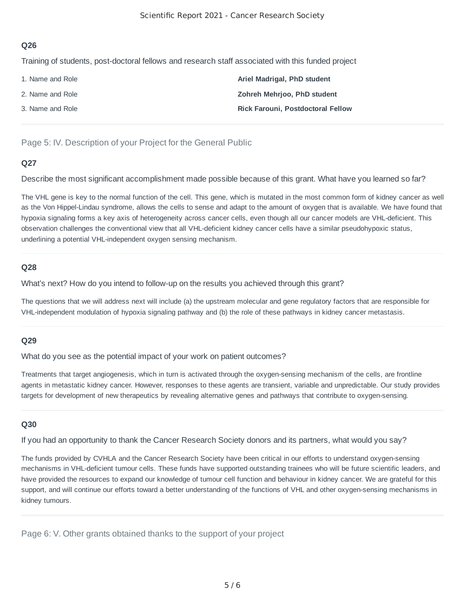Training of students, post-doctoral fellows and research staff associated with this funded project

| 1. Name and Role | Ariel Madrigal, PhD student              |
|------------------|------------------------------------------|
| 2. Name and Role | Zohreh Mehrjoo, PhD student              |
| 3. Name and Role | <b>Rick Farouni, Postdoctoral Fellow</b> |

Page 5: IV. Description of your Project for the General Public

## **Q27**

Describe the most significant accomplishment made possible because of this grant. What have you learned so far?

The VHL gene is key to the normal function of the cell. This gene, which is mutated in the most common form of kidney cancer as well as the Von Hippel-Lindau syndrome, allows the cells to sense and adapt to the amount of oxygen that is available. We have found that hypoxia signaling forms a key axis of heterogeneity across cancer cells, even though all our cancer models are VHL-deficient. This observation challenges the conventional view that all VHL-deficient kidney cancer cells have a similar pseudohypoxic status, underlining a potential VHL-independent oxygen sensing mechanism.

## **Q28**

What's next? How do you intend to follow-up on the results you achieved through this grant?

The questions that we will address next will include (a) the upstream molecular and gene regulatory factors that are responsible for VHL-independent modulation of hypoxia signaling pathway and (b) the role of these pathways in kidney cancer metastasis.

#### **Q29**

What do you see as the potential impact of your work on patient outcomes?

Treatments that target angiogenesis, which in turn is activated through the oxygen-sensing mechanism of the cells, are frontline agents in metastatic kidney cancer. However, responses to these agents are transient, variable and unpredictable. Our study provides targets for development of new therapeutics by revealing alternative genes and pathways that contribute to oxygen-sensing.

#### **Q30**

If you had an opportunity to thank the Cancer Research Society donors and its partners, what would you say?

The funds provided by CVHLA and the Cancer Research Society have been critical in our efforts to understand oxygen-sensing mechanisms in VHL-deficient tumour cells. These funds have supported outstanding trainees who will be future scientific leaders, and have provided the resources to expand our knowledge of tumour cell function and behaviour in kidney cancer. We are grateful for this support, and will continue our efforts toward a better understanding of the functions of VHL and other oxygen-sensing mechanisms in kidney tumours.

Page 6: V. Other grants obtained thanks to the support of your project